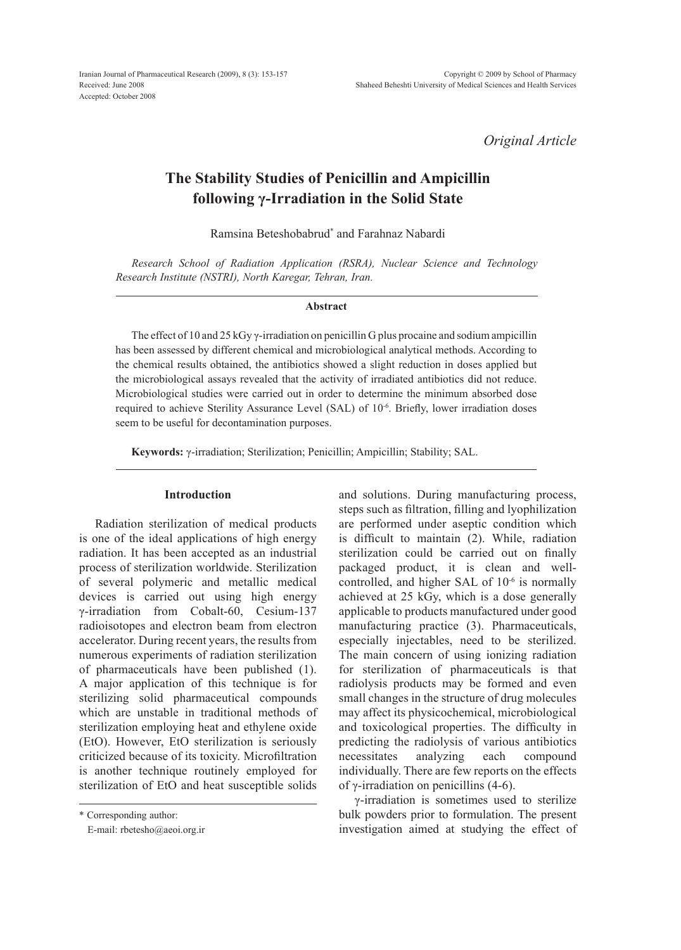*Original Article*

# **The Stability Studies of Penicillin and Ampicillin following γ-Irradiation in the Solid State**

Ramsina Beteshobabrud\* and Farahnaz Nabardi

*Research School of Radiation Application (RSRA), Nuclear Science and Technology Research Institute (NSTRI), North Karegar, Tehran, Iran.*

#### **Abstract**

The effect of 10 and 25 kGy γ-irradiation on penicillin G plus procaine and sodium ampicillin has been assessed by different chemical and microbiological analytical methods. According to the chemical results obtained, the antibiotics showed a slight reduction in doses applied but the microbiological assays revealed that the activity of irradiated antibiotics did not reduce. Microbiological studies were carried out in order to determine the minimum absorbed dose required to achieve Sterility Assurance Level (SAL) of 10<sup>-6</sup>. Briefly, lower irradiation doses seem to be useful for decontamination purposes.

**Keywords:** γ-irradiation; Sterilization; Penicillin; Ampicillin; Stability; SAL.

## **Introduction**

Radiation sterilization of medical products is one of the ideal applications of high energy radiation. It has been accepted as an industrial process of sterilization worldwide. Sterilization of several polymeric and metallic medical devices is carried out using high energy γ-irradiation from Cobalt-60, Cesium-137 radioisotopes and electron beam from electron accelerator. During recent years, the results from numerous experiments of radiation sterilization of pharmaceuticals have been published (1). A major application of this technique is for sterilizing solid pharmaceutical compounds which are unstable in traditional methods of sterilization employing heat and ethylene oxide (EtO). However, EtO sterilization is seriously criticized because of its toxicity. Microfiltration is another technique routinely employed for sterilization of EtO and heat susceptible solids

\* Corresponding author:

E-mail: rbetesho@aeoi.org.ir

and solutions. During manufacturing process, steps such as filtration, filling and lyophilization are performed under aseptic condition which is difficult to maintain (2). While, radiation sterilization could be carried out on finally packaged product, it is clean and wellcontrolled, and higher SAL of 10-6 is normally achieved at 25 kGy, which is a dose generally applicable to products manufactured under good manufacturing practice (3). Pharmaceuticals, especially injectables, need to be sterilized. The main concern of using ionizing radiation for sterilization of pharmaceuticals is that radiolysis products may be formed and even small changes in the structure of drug molecules may affect its physicochemical, microbiological and toxicological properties. The difficulty in predicting the radiolysis of various antibiotics necessitates analyzing each compound individually. There are few reports on the effects of γ-irradiation on penicillins (4-6).

γ-irradiation is sometimes used to sterilize bulk powders prior to formulation. The present investigation aimed at studying the effect of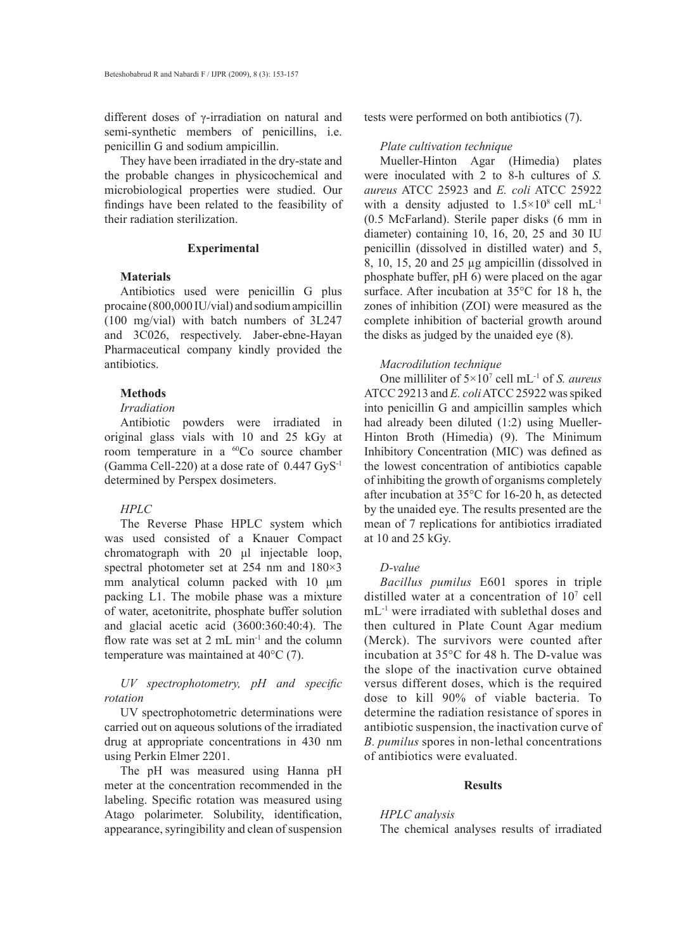different doses of γ-irradiation on natural and semi-synthetic members of penicillins, i.e. penicillin G and sodium ampicillin.

They have been irradiated in the dry-state and the probable changes in physicochemical and microbiological properties were studied. Our findings have been related to the feasibility of their radiation sterilization.

#### **Experimental**

#### **Materials**

Antibiotics used were penicillin G plus procaine (800,000 IU/vial) and sodium ampicillin (100 mg/vial) with batch numbers of 3L247 and 3C026, respectively. Jaber-ebne-Hayan Pharmaceutical company kindly provided the antibiotics.

## **Methods**

#### *Irradiation*

Antibiotic powders were irradiated in original glass vials with 10 and 25 kGy at room temperature in a 60Co source chamber (Gamma Cell-220) at a dose rate of 0.447 GyS-1 determined by Perspex dosimeters.

## *HPLC*

The Reverse Phase HPLC system which was used consisted of a Knauer Compact chromatograph with 20 μl injectable loop, spectral photometer set at 254 nm and 180×3 mm analytical column packed with 10 μm packing L1. The mobile phase was a mixture of water, acetonitrite, phosphate buffer solution and glacial acetic acid (3600:360:40:4). The flow rate was set at 2 mL min<sup>-1</sup> and the column temperature was maintained at 40°C (7).

# *UV spectrophotometry, pH and specific rotation*

UV spectrophotometric determinations were carried out on aqueous solutions of the irradiated drug at appropriate concentrations in 430 nm using Perkin Elmer 2201.

The pH was measured using Hanna pH meter at the concentration recommended in the labeling. Specific rotation was measured using Atago polarimeter. Solubility, identification, appearance, syringibility and clean of suspension tests were performed on both antibiotics (7).

## *Plate cultivation technique*

Mueller-Hinton Agar (Himedia) plates were inoculated with 2 to 8-h cultures of *S. aureus* ATCC 25923 and *E. coli* ATCC 25922 with a density adjusted to  $1.5 \times 10^8$  cell mL<sup>-1</sup> (0.5 McFarland). Sterile paper disks (6 mm in diameter) containing 10, 16, 20, 25 and 30 IU penicillin (dissolved in distilled water) and 5, 8, 10, 15, 20 and 25 µg ampicillin (dissolved in phosphate buffer, pH 6) were placed on the agar surface. After incubation at 35°C for 18 h, the zones of inhibition (ZOI) were measured as the complete inhibition of bacterial growth around the disks as judged by the unaided eye (8).

## *Macrodilution technique*

One milliliter of 5×107 cell mL-1 of *S. aureus* ATCC 29213 and *E. coli* ATCC 25922 was spiked into penicillin G and ampicillin samples which had already been diluted (1:2) using Mueller-Hinton Broth (Himedia) (9). The Minimum Inhibitory Concentration (MIC) was defined as the lowest concentration of antibiotics capable of inhibiting the growth of organisms completely after incubation at 35°C for 16-20 h, as detected by the unaided eye. The results presented are the mean of 7 replications for antibiotics irradiated at 10 and 25 kGy.

## *D-value*

*Bacillus pumilus* E601 spores in triple distilled water at a concentration of  $10<sup>7</sup>$  cell mL-1 were irradiated with sublethal doses and then cultured in Plate Count Agar medium (Merck). The survivors were counted after incubation at 35°C for 48 h. The D-value was the slope of the inactivation curve obtained versus different doses, which is the required dose to kill 90% of viable bacteria. To determine the radiation resistance of spores in antibiotic suspension, the inactivation curve of *B. pumilus* spores in non-lethal concentrations of antibiotics were evaluated.

## **Results**

## *HPLC analysis*

The chemical analyses results of irradiated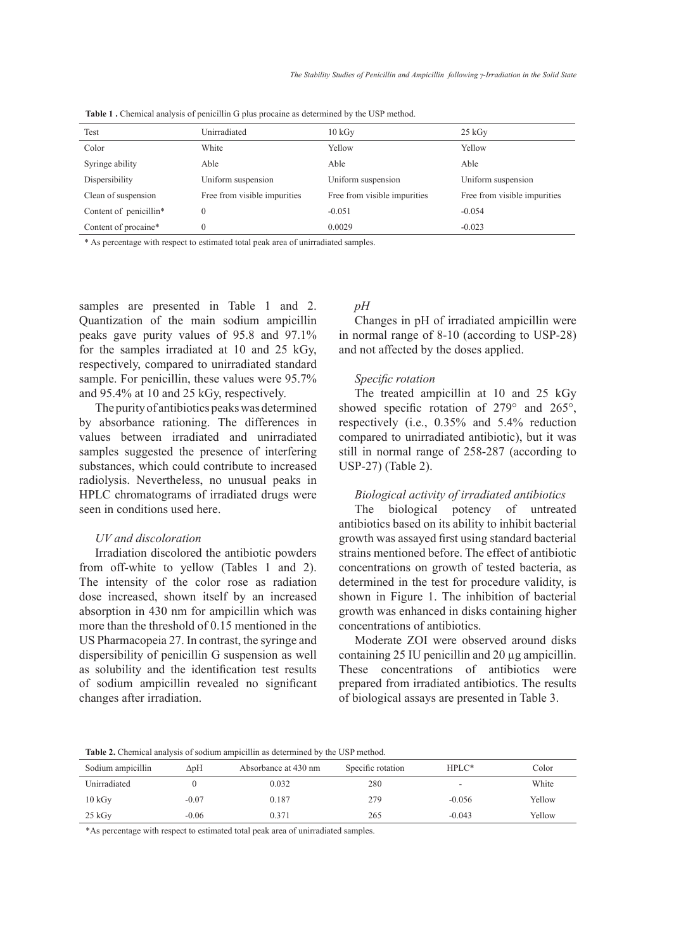| Test                   | Unirradiated                 | $10 \text{ kGy}$             | $25 \text{ kGy}$             |
|------------------------|------------------------------|------------------------------|------------------------------|
| Color                  | White                        | Yellow                       | Yellow                       |
| Syringe ability        | Able                         | Able                         | Able                         |
| Dispersibility         | Uniform suspension           | Uniform suspension           | Uniform suspension           |
| Clean of suspension    | Free from visible impurities | Free from visible impurities | Free from visible impurities |
| Content of penicillin* | $\mathbf{0}$                 | $-0.051$                     | $-0.054$                     |
| Content of procaine*   | $\mathbf{0}$                 | 0.0029                       | $-0.023$                     |

**Table 1 .** Chemical analysis of penicillin G plus procaine as determined by the USP method.

\* As percentage with respect to estimated total peak area of unirradiated samples.

samples are presented in Table 1 and 2. Quantization of the main sodium ampicillin peaks gave purity values of 95.8 and 97.1% for the samples irradiated at 10 and 25 kGy, respectively, compared to unirradiated standard sample. For penicillin, these values were 95.7% and 95.4% at 10 and 25 kGy, respectively.

The purity of antibiotics peaks was determined by absorbance rationing. The differences in values between irradiated and unirradiated samples suggested the presence of interfering substances, which could contribute to increased radiolysis. Nevertheless, no unusual peaks in HPLC chromatograms of irradiated drugs were seen in conditions used here.

## *UV and discoloration*

Irradiation discolored the antibiotic powders from off-white to yellow (Tables 1 and 2). The intensity of the color rose as radiation dose increased, shown itself by an increased absorption in 430 nm for ampicillin which was more than the threshold of 0.15 mentioned in the US Pharmacopeia 27. In contrast, the syringe and dispersibility of penicillin G suspension as well as solubility and the identification test results of sodium ampicillin revealed no significant changes after irradiation.

## *pH*

Changes in pH of irradiated ampicillin were in normal range of 8-10 (according to USP-28) and not affected by the doses applied.

#### *Specific rotation*

The treated ampicillin at 10 and 25 kGy showed specific rotation of 279° and 265°, respectively (i.e., 0.35% and 5.4% reduction compared to unirradiated antibiotic), but it was still in normal range of 258-287 (according to USP-27) (Table 2).

# *Biological activity of irradiated antibiotics*

The biological potency of untreated antibiotics based on its ability to inhibit bacterial growth was assayed first using standard bacterial strains mentioned before. The effect of antibiotic concentrations on growth of tested bacteria, as determined in the test for procedure validity, is shown in Figure 1. The inhibition of bacterial growth was enhanced in disks containing higher concentrations of antibiotics.

Moderate ZOI were observed around disks containing 25 IU penicillin and 20 µg ampicillin. These concentrations of antibiotics were prepared from irradiated antibiotics. The results of biological assays are presented in Table 3.

**Table 2.** Chemical analysis of sodium ampicillin as determined by the USP method.

| Sodium ampicillin | $\Delta$ pH | Absorbance at 430 nm | Specific rotation | $HPLC*$                  | Color  |
|-------------------|-------------|----------------------|-------------------|--------------------------|--------|
| Unirradiated      |             | 0.032                | 280               | $\overline{\phantom{0}}$ | White  |
| 10 kGv            | $-0.07$     | 0.187                | 279               | $-0.056$                 | Yellow |
| $25 \text{ kGv}$  | $-0.06$     | 0.371                | 265               | $-0.043$                 | Yellow |

\*As percentage with respect to estimated total peak area of unirradiated samples.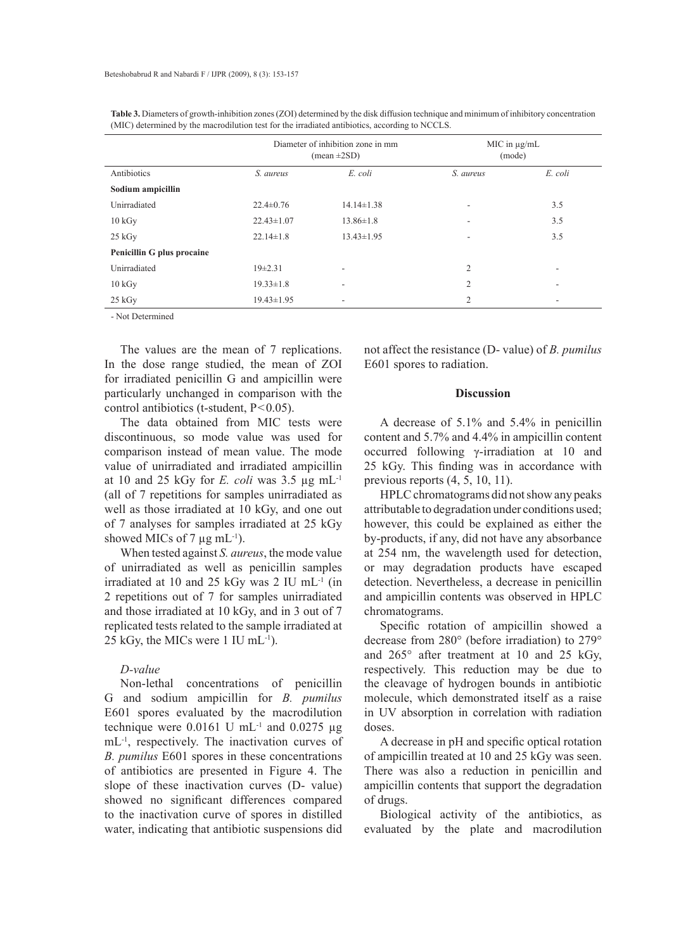|                            | Diameter of inhibition zone in mm<br>$(\text{mean} \pm 2SD)$ |                  | $MIC$ in $\mu$ g/mL<br>(mode) |         |
|----------------------------|--------------------------------------------------------------|------------------|-------------------------------|---------|
| Antibiotics                | S. aureus                                                    | E. coli          | S. aureus                     | E. coli |
| Sodium ampicillin          |                                                              |                  |                               |         |
| Unirradiated               | $22.4 \pm 0.76$                                              | $14.14 \pm 1.38$ | ٠                             | 3.5     |
| 10 kGy                     | $22.43 \pm 1.07$                                             | $13.86 \pm 1.8$  |                               | 3.5     |
| $25 \text{ kGy}$           | $22.14 \pm 1.8$                                              | $13.43 \pm 1.95$ | ٠                             | 3.5     |
| Penicillin G plus procaine |                                                              |                  |                               |         |
| Unirradiated               | $19\pm 2.31$                                                 |                  | $\overline{2}$                |         |
| $10\,\mathrm{kGy}$         | $19.33 \pm 1.8$                                              | ۰                | $\overline{2}$                | ۰       |
| 25 kGy                     | $19.43 \pm 1.95$                                             |                  | 2                             |         |

**Table 3.** Diameters of growth-inhibition zones (ZOI) determined by the disk diffusion technique and minimum of inhibitory concentration (MIC) determined by the macrodilution test for the irradiated antibiotics, according to NCCLS.

- Not Determined

The values are the mean of 7 replications. In the dose range studied, the mean of ZOI for irradiated penicillin G and ampicillin were particularly unchanged in comparison with the control antibiotics (t-student, P<0.05).

The data obtained from MIC tests were discontinuous, so mode value was used for comparison instead of mean value. The mode value of unirradiated and irradiated ampicillin at 10 and 25 kGy for  $E$ . *coli* was 3.5  $\mu$ g mL<sup>-1</sup> (all of 7 repetitions for samples unirradiated as well as those irradiated at 10 kGy, and one out of 7 analyses for samples irradiated at 25 kGy showed MICs of 7  $\mu$ g mL<sup>-1</sup>).

When tested against *S. aureus*, the mode value of unirradiated as well as penicillin samples irradiated at 10 and 25 kGy was 2 IU mL-1 (in 2 repetitions out of 7 for samples unirradiated and those irradiated at 10 kGy, and in 3 out of 7 replicated tests related to the sample irradiated at 25 kGy, the MICs were 1 IU mL-1).

# *D-value*

Non-lethal concentrations of penicillin G and sodium ampicillin for *B. pumilus*  E601 spores evaluated by the macrodilution technique were  $0.0161$  U mL<sup>-1</sup> and  $0.0275$  µg mL<sup>-1</sup>, respectively. The inactivation curves of *B. pumilus* E601 spores in these concentrations of antibiotics are presented in Figure 4. The slope of these inactivation curves (D- value) showed no significant differences compared to the inactivation curve of spores in distilled water, indicating that antibiotic suspensions did not affect the resistance (D- value) of *B. pumilus*  E601 spores to radiation.

#### **Discussion**

A decrease of 5.1% and 5.4% in penicillin content and 5.7% and 4.4% in ampicillin content occurred following γ-irradiation at 10 and 25 kGy. This finding was in accordance with previous reports (4, 5, 10, 11).

HPLC chromatograms did not show any peaks attributable to degradation under conditions used; however, this could be explained as either the by-products, if any, did not have any absorbance at 254 nm, the wavelength used for detection, or may degradation products have escaped detection. Nevertheless, a decrease in penicillin and ampicillin contents was observed in HPLC chromatograms.

Specific rotation of ampicillin showed a decrease from 280° (before irradiation) to 279° and 265° after treatment at 10 and 25 kGy, respectively. This reduction may be due to the cleavage of hydrogen bounds in antibiotic molecule, which demonstrated itself as a raise in UV absorption in correlation with radiation doses.

A decrease in pH and specific optical rotation of ampicillin treated at 10 and 25 kGy was seen. There was also a reduction in penicillin and ampicillin contents that support the degradation of drugs.

Biological activity of the antibiotics, as evaluated by the plate and macrodilution